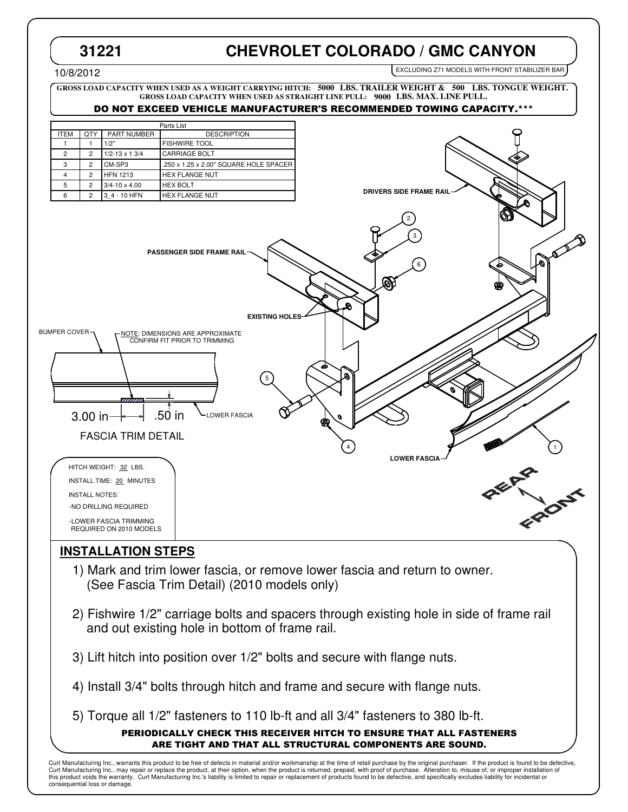# **31221 CHEVROLET COLORADO / GMC CANYON**

**DRIVERS SIDE FRAME RAIL**

EXCLUDING Z71 MODELS WITH FRONT STABILIZER BAR

#### 10/8/2012

**GROSS LOAD CAPACITY WHEN USED AS A WEIGHT CARRYING HITCH: LBS. TRAILER WEIGHT & LBS. TONGUE WEIGHT. 5000 500 GROSS LOAD CAPACITY WHEN USED AS STRAIGHT LINE PULL: 9000 LBS. MAX. LINE PULL.** 

## DO NOT EXCEED VEHICLE MANUFACTURER'S RECOMMENDED TOWING CAPACITY.\*\*\*

| Parts List  |                |                        |                                        |
|-------------|----------------|------------------------|----------------------------------------|
| <b>ITEM</b> | QTY            | PART NUMBER            | <b>DESCRIPTION</b>                     |
|             |                | 1/2"                   | <b>FISHWIRE TOOL</b>                   |
| 2           | $\overline{c}$ | $1/2 - 13 \times 13/4$ | <b>CARRIAGE BOLT</b>                   |
| 3           | $\overline{c}$ | CM-SP3                 | .250 x 1.25 x 2.00" SQUARE HOLE SPACER |
| 4           | $\overline{c}$ | <b>HFN 1213</b>        | <b>HEX FLANGE NUT</b>                  |
| 5           | $\overline{c}$ | $3/4 - 10 \times 4.00$ | <b>HEX BOLT</b>                        |
| 6           | 2              | 3 4 - 10 HFN           | <b>HEX FLANGE NUT</b>                  |



## **INSTALLATION STEPS**

- 1) Mark and trim lower fascia, or remove lower fascia and return to owner. (See Fascia Trim Detail) (2010 models only)
- 2) Fishwire 1/2" carriage bolts and spacers through existing hole in side of frame rail and out existing hole in bottom of frame rail.
- 3) Lift hitch into position over 1/2" bolts and secure with flange nuts.
- 4) Install 3/4" bolts through hitch and frame and secure with flange nuts.
- 5) Torque all 1/2" fasteners to 110 lb-ft and all 3/4" fasteners to 380 lb-ft.

### PERIODICALLY CHECK THIS RECEIVER HITCH TO ENSURE THAT ALL FASTENERS ARE TIGHT AND THAT ALL STRUCTURAL COMPONENTS ARE SOUND.

Curt Manufacturing Inc., warrants this product to be free of defects in material and/or workmanship at the time of retail purchase by the original purchaser. If the product is found to be defective, Curt Manufacturing Inc., may repair or replace the product, at their option, when the product is returned, prepaid, with proof of purchase. Alteration to, misuse of, or improper installation of<br>this product voids the warra consequential loss or damage.